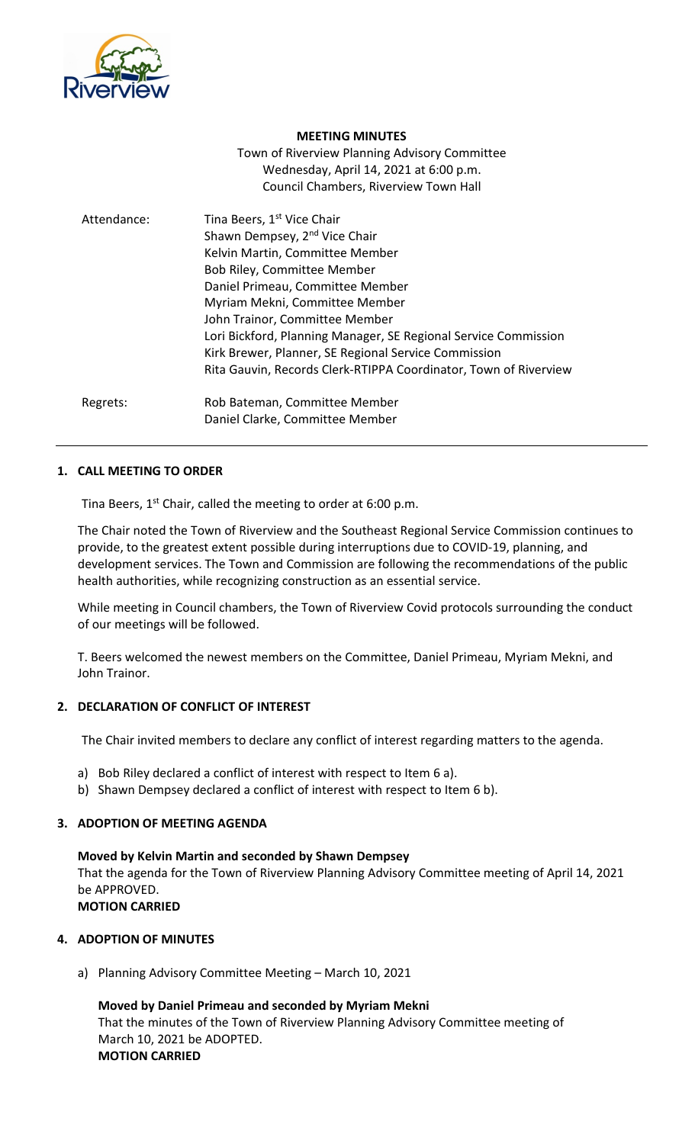

#### **MEETING MINUTES**

Town of Riverview Planning Advisory Committee Wednesday, April 14, 2021 at 6:00 p.m. Council Chambers, Riverview Town Hall

| Attendance: | Tina Beers, 1 <sup>st</sup> Vice Chair<br>Shawn Dempsey, 2 <sup>nd</sup> Vice Chair<br>Kelvin Martin, Committee Member<br>Bob Riley, Committee Member<br>Daniel Primeau, Committee Member<br>Myriam Mekni, Committee Member<br>John Trainor, Committee Member<br>Lori Bickford, Planning Manager, SE Regional Service Commission<br>Kirk Brewer, Planner, SE Regional Service Commission<br>Rita Gauvin, Records Clerk-RTIPPA Coordinator, Town of Riverview |
|-------------|--------------------------------------------------------------------------------------------------------------------------------------------------------------------------------------------------------------------------------------------------------------------------------------------------------------------------------------------------------------------------------------------------------------------------------------------------------------|
| Regrets:    | Rob Bateman, Committee Member<br>Daniel Clarke, Committee Member                                                                                                                                                                                                                                                                                                                                                                                             |

# **1. CALL MEETING TO ORDER**

Tina Beers,  $1^{st}$  Chair, called the meeting to order at 6:00 p.m.

The Chair noted the Town of Riverview and the Southeast Regional Service Commission continues to provide, to the greatest extent possible during interruptions due to COVID-19, planning, and development services. The Town and Commission are following the recommendations of the public health authorities, while recognizing construction as an essential service.

While meeting in Council chambers, the Town of Riverview Covid protocols surrounding the conduct of our meetings will be followed.

T. Beers welcomed the newest members on the Committee, Daniel Primeau, Myriam Mekni, and John Trainor.

## **2. DECLARATION OF CONFLICT OF INTEREST**

The Chair invited members to declare any conflict of interest regarding matters to the agenda.

- a) Bob Riley declared a conflict of interest with respect to Item 6 a).
- b) Shawn Dempsey declared a conflict of interest with respect to Item 6 b).

# **3. ADOPTION OF MEETING AGENDA**

**Moved by Kelvin Martin and seconded by Shawn Dempsey** That the agenda for the Town of Riverview Planning Advisory Committee meeting of April 14, 2021 be APPROVED. **MOTION CARRIED**

# **4. ADOPTION OF MINUTES**

a) Planning Advisory Committee Meeting – March 10, 2021

**Moved by Daniel Primeau and seconded by Myriam Mekni** That the minutes of the Town of Riverview Planning Advisory Committee meeting of March 10, 2021 be ADOPTED. **MOTION CARRIED**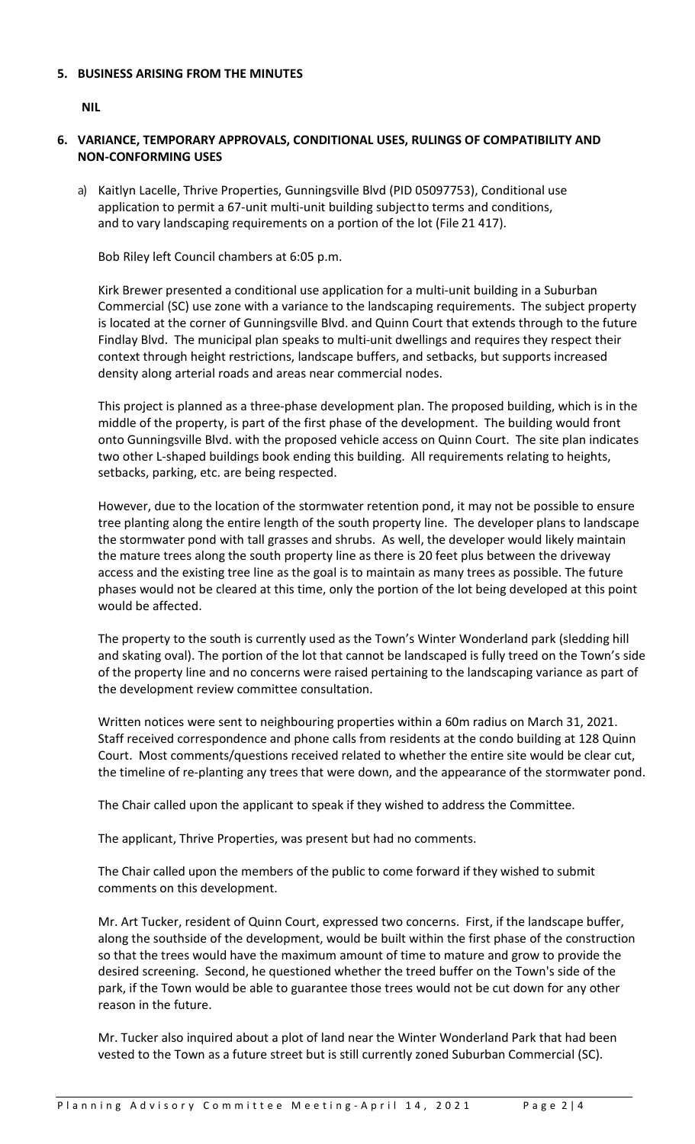## **5. BUSINESS ARISING FROM THE MINUTES**

**NIL**

- **6. VARIANCE, TEMPORARY APPROVALS, CONDITIONAL USES, RULINGS OF COMPATIBILITY AND NON-CONFORMING USES**
	- a) Kaitlyn Lacelle, Thrive Properties, Gunningsville Blvd (PID 05097753), Conditional use application to permit a 67-unit multi-unit building subjectto terms and conditions, and to vary landscaping requirements on a portion of the lot (File 21 417).

Bob Riley left Council chambers at 6:05 p.m.

Kirk Brewer presented a conditional use application for a multi-unit building in a Suburban Commercial (SC) use zone with a variance to the landscaping requirements. The subject property is located at the corner of Gunningsville Blvd. and Quinn Court that extends through to the future Findlay Blvd. The municipal plan speaks to multi-unit dwellings and requires they respect their context through height restrictions, landscape buffers, and setbacks, but supports increased density along arterial roads and areas near commercial nodes.

This project is planned as a three-phase development plan. The proposed building, which is in the middle of the property, is part of the first phase of the development. The building would front onto Gunningsville Blvd. with the proposed vehicle access on Quinn Court. The site plan indicates two other L-shaped buildings book ending this building. All requirements relating to heights, setbacks, parking, etc. are being respected.

However, due to the location of the stormwater retention pond, it may not be possible to ensure tree planting along the entire length of the south property line. The developer plans to landscape the stormwater pond with tall grasses and shrubs. As well, the developer would likely maintain the mature trees along the south property line as there is 20 feet plus between the driveway access and the existing tree line as the goal is to maintain as many trees as possible. The future phases would not be cleared at this time, only the portion of the lot being developed at this point would be affected.

The property to the south is currently used as the Town's Winter Wonderland park (sledding hill and skating oval). The portion of the lot that cannot be landscaped is fully treed on the Town's side of the property line and no concerns were raised pertaining to the landscaping variance as part of the development review committee consultation.

Written notices were sent to neighbouring properties within a 60m radius on March 31, 2021. Staff received correspondence and phone calls from residents at the condo building at 128 Quinn Court. Most comments/questions received related to whether the entire site would be clear cut, the timeline of re-planting any trees that were down, and the appearance of the stormwater pond.

The Chair called upon the applicant to speak if they wished to address the Committee.

The applicant, Thrive Properties, was present but had no comments.

The Chair called upon the members of the public to come forward if they wished to submit comments on this development.

Mr. Art Tucker, resident of Quinn Court, expressed two concerns. First, if the landscape buffer, along the southside of the development, would be built within the first phase of the construction so that the trees would have the maximum amount of time to mature and grow to provide the desired screening. Second, he questioned whether the treed buffer on the Town's side of the park, if the Town would be able to guarantee those trees would not be cut down for any other reason in the future.

Mr. Tucker also inquired about a plot of land near the Winter Wonderland Park that had been vested to the Town as a future street but is still currently zoned Suburban Commercial (SC).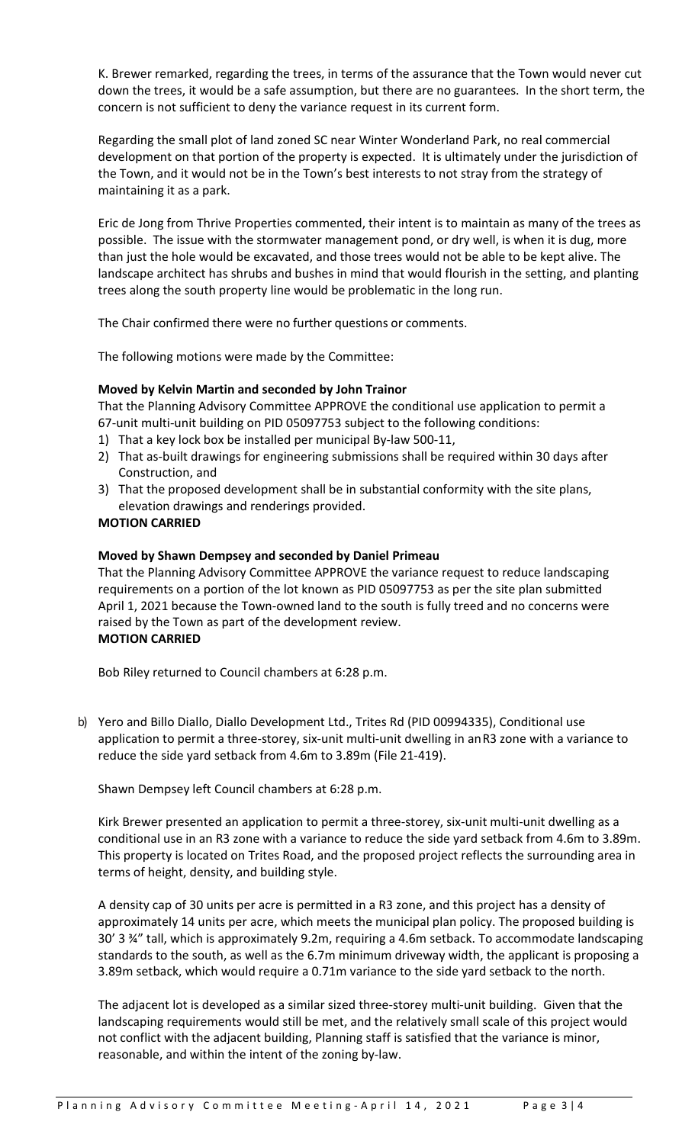K. Brewer remarked, regarding the trees, in terms of the assurance that the Town would never cut down the trees, it would be a safe assumption, but there are no guarantees. In the short term, the concern is not sufficient to deny the variance request in its current form.

Regarding the small plot of land zoned SC near Winter Wonderland Park, no real commercial development on that portion of the property is expected. It is ultimately under the jurisdiction of the Town, and it would not be in the Town's best interests to not stray from the strategy of maintaining it as a park.

Eric de Jong from Thrive Properties commented, their intent is to maintain as many of the trees as possible. The issue with the stormwater management pond, or dry well, is when it is dug, more than just the hole would be excavated, and those trees would not be able to be kept alive. The landscape architect has shrubs and bushes in mind that would flourish in the setting, and planting trees along the south property line would be problematic in the long run.

The Chair confirmed there were no further questions or comments.

The following motions were made by the Committee:

# **Moved by Kelvin Martin and seconded by John Trainor**

That the Planning Advisory Committee APPROVE the conditional use application to permit a 67-unit multi-unit building on PID 05097753 subject to the following conditions:

- 1) That a key lock box be installed per municipal By-law 500-11,
- 2) That as-built drawings for engineering submissions shall be required within 30 days after Construction, and
- 3) That the proposed development shall be in substantial conformity with the site plans, elevation drawings and renderings provided.

## **MOTION CARRIED**

# **Moved by Shawn Dempsey and seconded by Daniel Primeau**

That the Planning Advisory Committee APPROVE the variance request to reduce landscaping requirements on a portion of the lot known as PID 05097753 as per the site plan submitted April 1, 2021 because the Town-owned land to the south is fully treed and no concerns were raised by the Town as part of the development review. **MOTION CARRIED**

Bob Riley returned to Council chambers at 6:28 p.m.

b) Yero and Billo Diallo, Diallo Development Ltd., Trites Rd (PID 00994335), Conditional use application to permit a three-storey, six-unit multi-unit dwelling in anR3 zone with a variance to reduce the side yard setback from 4.6m to 3.89m (File 21-419).

Shawn Dempsey left Council chambers at 6:28 p.m.

Kirk Brewer presented an application to permit a three-storey, six-unit multi-unit dwelling as a conditional use in an R3 zone with a variance to reduce the side yard setback from 4.6m to 3.89m. This property is located on Trites Road, and the proposed project reflects the surrounding area in terms of height, density, and building style.

A density cap of 30 units per acre is permitted in a R3 zone, and this project has a density of approximately 14 units per acre, which meets the municipal plan policy. The proposed building is 30' 3 ¾" tall, which is approximately 9.2m, requiring a 4.6m setback. To accommodate landscaping standards to the south, as well as the 6.7m minimum driveway width, the applicant is proposing a 3.89m setback, which would require a 0.71m variance to the side yard setback to the north.

The adjacent lot is developed as a similar sized three-storey multi-unit building. Given that the landscaping requirements would still be met, and the relatively small scale of this project would not conflict with the adjacent building, Planning staff is satisfied that the variance is minor, reasonable, and within the intent of the zoning by-law.